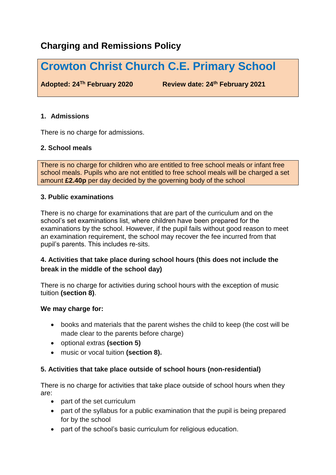# **Charging and Remissions Policy**

# **Crowton Christ Church C.E. Primary School**

**Adopted: 24Th February 2020 Review date: 24th February 2021**

# **1. Admissions**

There is no charge for admissions.

# **2. School meals**

There is no charge for children who are entitled to free school meals or infant free school meals. Pupils who are not entitled to free school meals will be charged a set amount **£2.40p** per day decided by the governing body of the school

# **3. Public examinations**

There is no charge for examinations that are part of the curriculum and on the school's set examinations list, where children have been prepared for the examinations by the school. However, if the pupil fails without good reason to meet an examination requirement, the school may recover the fee incurred from that pupil's parents. This includes re-sits.

# **4. Activities that take place during school hours (this does not include the break in the middle of the school day)**

There is no charge for activities during school hours with the exception of music tuition **(section 8)**.

# **We may charge for:**

- books and materials that the parent wishes the child to keep (the cost will be made clear to the parents before charge)
- optional extras **(section 5)**
- music or vocal tuition **(section 8).**

# **5. Activities that take place outside of school hours (non-residential)**

There is no charge for activities that take place outside of school hours when they are:

- part of the set curriculum
- part of the syllabus for a public examination that the pupil is being prepared for by the school
- part of the school's basic curriculum for religious education.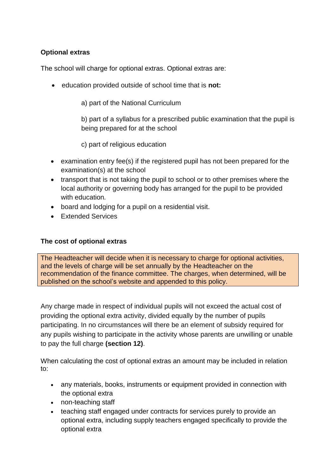# **Optional extras**

The school will charge for optional extras. Optional extras are:

- education provided outside of school time that is **not:**
	- a) part of the National Curriculum

b) part of a syllabus for a prescribed public examination that the pupil is being prepared for at the school

c) part of religious education

- examination entry fee(s) if the registered pupil has not been prepared for the examination(s) at the school
- transport that is not taking the pupil to school or to other premises where the local authority or governing body has arranged for the pupil to be provided with education*.*
- board and lodging for a pupil on a residential visit.
- Extended Services

# **The cost of optional extras**

The Headteacher will decide when it is necessary to charge for optional activities, and the levels of charge will be set annually by the Headteacher on the recommendation of the finance committee. The charges, when determined, will be published on the school's website and appended to this policy.

Any charge made in respect of individual pupils will not exceed the actual cost of providing the optional extra activity, divided equally by the number of pupils participating. In no circumstances will there be an element of subsidy required for any pupils wishing to participate in the activity whose parents are unwilling or unable to pay the full charge **(section 12)**.

When calculating the cost of optional extras an amount may be included in relation to:

- any materials, books, instruments or equipment provided in connection with the optional extra
- non-teaching staff
- teaching staff engaged under contracts for services purely to provide an optional extra, including supply teachers engaged specifically to provide the optional extra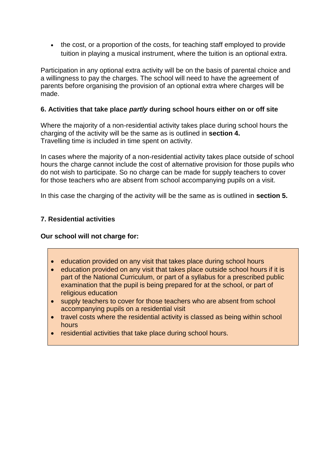• the cost, or a proportion of the costs, for teaching staff employed to provide tuition in playing a musical instrument, where the tuition is an optional extra.

Participation in any optional extra activity will be on the basis of parental choice and a willingness to pay the charges. The school will need to have the agreement of parents before organising the provision of an optional extra where charges will be made.

# **6. Activities that take place** *partly* **during school hours either on or off site**

Where the majority of a non-residential activity takes place during school hours the charging of the activity will be the same as is outlined in **section 4.** Travelling time is included in time spent on activity.

In cases where the majority of a non-residential activity takes place outside of school hours the charge cannot include the cost of alternative provision for those pupils who do not wish to participate. So no charge can be made for supply teachers to cover for those teachers who are absent from school accompanying pupils on a visit.

In this case the charging of the activity will be the same as is outlined in **section 5.**

# **7. Residential activities**

#### **Our school will not charge for:**

- **e** education provided on any visit that takes place during school hours
- education provided on any visit that takes place outside school hours if it is part of the National Curriculum, or part of a syllabus for a prescribed public examination that the pupil is being prepared for at the school, or part of religious education
- supply teachers to cover for those teachers who are absent from school accompanying pupils on a residential visit
- travel costs where the residential activity is classed as being within school hours
- residential activities that take place during school hours.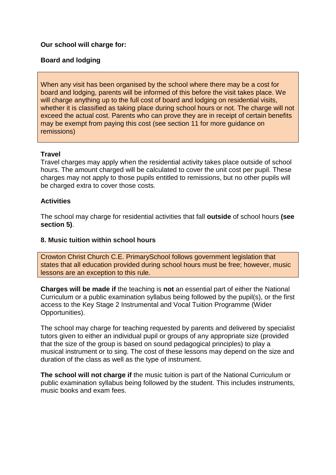#### **Our school will charge for:**

#### **Board and lodging**

When any visit has been organised by the school where there may be a cost for board and lodging, parents will be informed of this before the visit takes place. We will charge anything up to the full cost of board and lodging on residential visits, whether it is classified as taking place during school hours or not. The charge will not exceed the actual cost. Parents who can prove they are in receipt of certain benefits may be exempt from paying this cost (see section 11 for more guidance on remissions)

#### **Travel**

Travel charges may apply when the residential activity takes place outside of school hours. The amount charged will be calculated to cover the unit cost per pupil. These charges may not apply to those pupils entitled to remissions, but no other pupils will be charged extra to cover those costs.

#### **Activities**

The school may charge for residential activities that fall **outside** of school hours **(see section 5)**.

#### **8. Music tuition within school hours**

Crowton Christ Church C.E. PrimarySchool follows government legislation that states that all education provided during school hours must be free; however, music lessons are an exception to this rule.

**Charges will be made if** the teaching is **not** an essential part of either the National Curriculum or a public examination syllabus being followed by the pupil(s), or the first access to the Key Stage 2 Instrumental and Vocal Tuition Programme (Wider Opportunities).

The school may charge for teaching requested by parents and delivered by specialist tutors given to either an individual pupil or groups of any appropriate size (provided that the size of the group is based on sound pedagogical principles) to play a musical instrument or to sing. The cost of these lessons may depend on the size and duration of the class as well as the type of instrument.

**The school will not charge if** the music tuition is part of the National Curriculum or public examination syllabus being followed by the student. This includes instruments, music books and exam fees.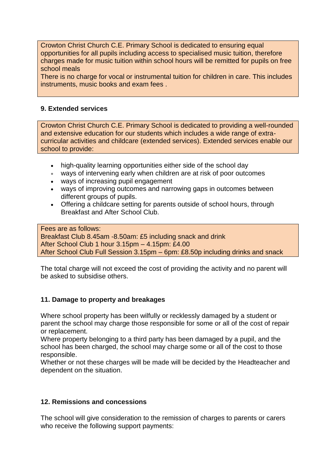Crowton Christ Church C.E. Primary School is dedicated to ensuring equal opportunities for all pupils including access to specialised music tuition, therefore charges made for music tuition within school hours will be remitted for pupils on free school meals

There is no charge for vocal or instrumental tuition for children in care. This includes instruments, music books and exam fees .

#### **9. Extended services**

Crowton Christ Church C.E. Primary School is dedicated to providing a well-rounded and extensive education for our students which includes a wide range of extracurricular activities and childcare (extended services). Extended services enable our school to provide:

- high-quality learning opportunities either side of the school day
- ways of intervening early when children are at risk of poor outcomes
- ways of increasing pupil engagement
- ways of improving outcomes and narrowing gaps in outcomes between different groups of pupils.
- Offering a childcare setting for parents outside of school hours, through Breakfast and After School Club.

Fees are as follows: Breakfast Club 8.45am -8.50am: £5 including snack and drink After School Club 1 hour 3.15pm – 4.15pm: £4.00 After School Club Full Session 3.15pm – 6pm: £8.50p including drinks and snack

The total charge will not exceed the cost of providing the activity and no parent will be asked to subsidise others.

#### **11. Damage to property and breakages**

Where school property has been wilfully or recklessly damaged by a student or parent the school may charge those responsible for some or all of the cost of repair or replacement.

Where property belonging to a third party has been damaged by a pupil, and the school has been charged, the school may charge some or all of the cost to those responsible.

Whether or not these charges will be made will be decided by the Headteacher and dependent on the situation.

#### **12. Remissions and concessions**

The school will give consideration to the remission of charges to parents or carers who receive the following support payments: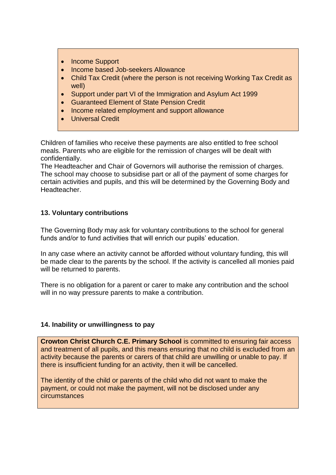- Income Support
- Income based Job-seekers Allowance
- Child Tax Credit (where the person is not receiving Working Tax Credit as well)
- Support under part VI of the Immigration and Asylum Act 1999
- Guaranteed Element of State Pension Credit
- Income related employment and support allowance
- Universal Credit

Children of families who receive these payments are also entitled to free school meals. Parents who are eligible for the remission of charges will be dealt with confidentially.

The Headteacher and Chair of Governors will authorise the remission of charges. The school may choose to subsidise part or all of the payment of some charges for certain activities and pupils, and this will be determined by the Governing Body and Headteacher.

### **13. Voluntary contributions**

The Governing Body may ask for voluntary contributions to the school for general funds and/or to fund activities that will enrich our pupils' education.

In any case where an activity cannot be afforded without voluntary funding, this will be made clear to the parents by the school. If the activity is cancelled all monies paid will be returned to parents.

There is no obligation for a parent or carer to make any contribution and the school will in no way pressure parents to make a contribution.

#### **14. Inability or unwillingness to pay**

**Crowton Christ Church C.E. Primary School** is committed to ensuring fair access and treatment of all pupils, and this means ensuring that no child is excluded from an activity because the parents or carers of that child are unwilling or unable to pay. If there is insufficient funding for an activity, then it will be cancelled.

The identity of the child or parents of the child who did not want to make the payment, or could not make the payment, will not be disclosed under any circumstances